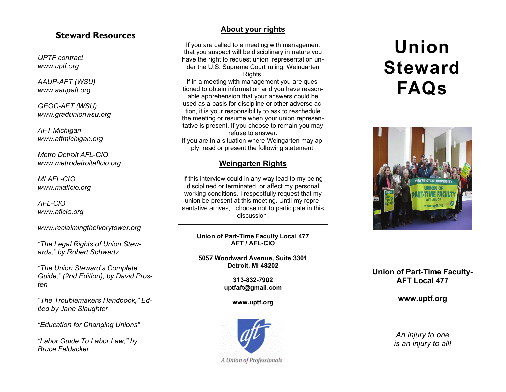### **Steward Resources**

*UPTF contract www.uptf.org* 

*AAUP-AFT (WSU) www.aaupaft.org* 

*GEOC-AFT (WSU) www.gradunionwsu.org* 

*AFT Michigan www.aftmichigan.org* 

*Metro Detroit AFL-CIO www.metrodetroitaflcio.org* 

*MI AFL-CIO www.miaflcio.org* 

*AFL-CIO www.aflcio.org* 

*www.reclaimingtheivorytower.org* 

*"The Legal Rights of Union Stewards," by Robert Schwartz* 

*"The Union Steward's Complete Guide," (2nd Edition), by David Prosten* 

*"The Troublemakers Handbook," Edited by Jane Slaughter* 

*"Education for Changing Unions"* 

*"Labor Guide To Labor Law," by Bruce Feldacker* 

#### **About your rights**

If you are called to a meeting with management that you suspect will be disciplinary in nature you have the right to request union representation under the U.S. Supreme Court ruling, Weingarten Rights.

If in a meeting with management you are questioned to obtain information and you have reasonable apprehension that your answers could be used as a basis for discipline or other adverse action, it is your responsibility to ask to reschedule the meeting or resume when your union representative is present. If you choose to remain you may refuse to answer. If you are in a situation where Weingarten may ap-

ply, read or present the following statement:

#### **Weingarten Rights**

If this interview could in any way lead to my being disciplined or terminated, or affect my personal working conditions, I respectfully request that my union be present at this meeting. Until my representative arrives, I choose not to participate in this discussion.

**Union of Part-Time Faculty Local 477 AFT / AFL-CIO** 

**5057 Woodward Avenue, Suite 3301 Detroit, MI 48202** 

> **313-832-7902 uptfaft@gmail.com**

> > **www.uptf.org**



A Union of Professionals

# **Union Steward FAQs**



### **Union of Part-Time Faculty-AFT Local 477**

**www.uptf.org** 

*An injury to one is an injury to all!*